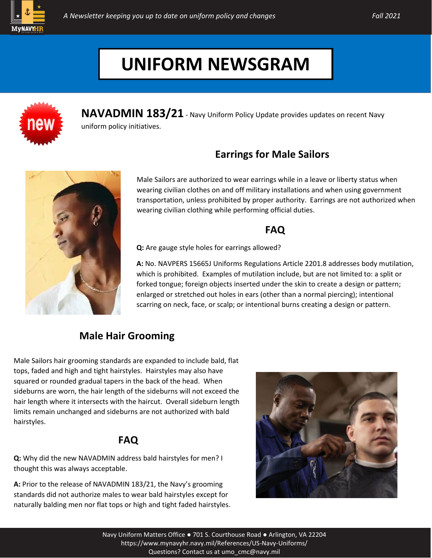



**NAVADMIN 183/21** - Navy Uniform Policy Update provides updates on recent Navy uniform policy initiatives.

## **Earrings for Male Sailors**



Male Sailors are authorized to wear earrings while in a leave or liberty status when wearing civilian clothes on and off military installations and when using government transportation, unless prohibited by proper authority. Earrings are not authorized when wearing civilian clothing while performing official duties.

### **FAQ**

**Q:** Are gauge style holes for earrings allowed?

**A:** No. NAVPERS 15665J Uniforms Regulations Article 2201.8 addresses body mutilation, which is prohibited. Examples of mutilation include, but are not limited to: a split or forked tongue; foreign objects inserted under the skin to create a design or pattern; enlarged or stretched out holes in ears (other than a normal piercing); intentional scarring on neck, face, or scalp; or intentional burns creating a design or pattern.

## **Male Hair Grooming**

Male Sailors hair grooming standards are expanded to include bald, flat tops, faded and high and tight hairstyles. Hairstyles may also have squared or rounded gradual tapers in the back of the head. When sideburns are worn, the hair length of the sideburns will not exceed the hair length where it intersects with the haircut. Overall sideburn length limits remain unchanged and sideburns are not authorized with bald hairstyles.

## **FAQ**

**Q:** Why did the new NAVADMIN address bald hairstyles for men? I thought this was always acceptable.

**A:** Prior to the release of NAVADMIN 183/21, the Navy's grooming standards did not authorize males to wear bald hairstyles except for naturally balding men nor flat tops or high and tight faded hairstyles.

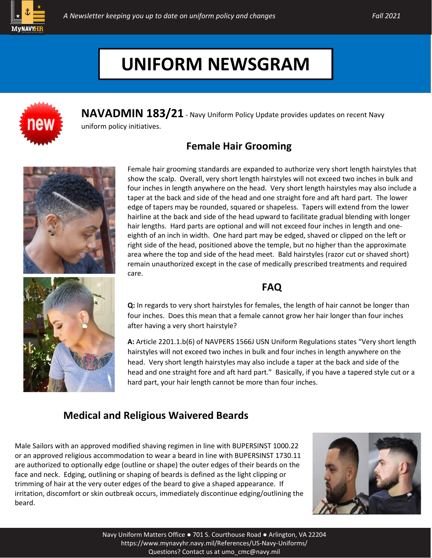



**NAVADMIN 183/21** - Navy Uniform Policy Update provides updates on recent Navy uniform policy initiatives.

## **Female Hair Grooming**



Female hair grooming standards are expanded to authorize very short length hairstyles that show the scalp. Overall, very short length hairstyles will not exceed two inches in bulk and four inches in length anywhere on the head. Very short length hairstyles may also include a taper at the back and side of the head and one straight fore and aft hard part. The lower edge of tapers may be rounded, squared or shapeless. Tapers will extend from the lower hairline at the back and side of the head upward to facilitate gradual blending with longer hair lengths. Hard parts are optional and will not exceed four inches in length and oneeighth of an inch in width. One hard part may be edged, shaved or clipped on the left or right side of the head, positioned above the temple, but no higher than the approximate area where the top and side of the head meet. Bald hairstyles (razor cut or shaved short) remain unauthorized except in the case of medically prescribed treatments and required care.



# **FAQ**

**Q:** In regards to very short hairstyles for females, the length of hair cannot be longer than four inches. Does this mean that a female cannot grow her hair longer than four inches after having a very short hairstyle?

**A:** Article 2201.1.b(6) of NAVPERS 1566J USN Uniform Regulations states "Very short length hairstyles will not exceed two inches in bulk and four inches in length anywhere on the head. Very short length hairstyles may also include a taper at the back and side of the head and one straight fore and aft hard part." Basically, if you have a tapered style cut or a hard part, your hair length cannot be more than four inches.

#### **Medical and Religious Waivered Beards**

Male Sailors with an approved modified shaving regimen in line with BUPERSINST 1000.22 or an approved religious accommodation to wear a beard in line with BUPERSINST 1730.11 are authorized to optionally edge (outline or shape) the outer edges of their beards on the face and neck. Edging, outlining or shaping of beards is defined as the light clipping or trimming of hair at the very outer edges of the beard to give a shaped appearance. If irritation, discomfort or skin outbreak occurs, immediately discontinue edging/outlining the beard.

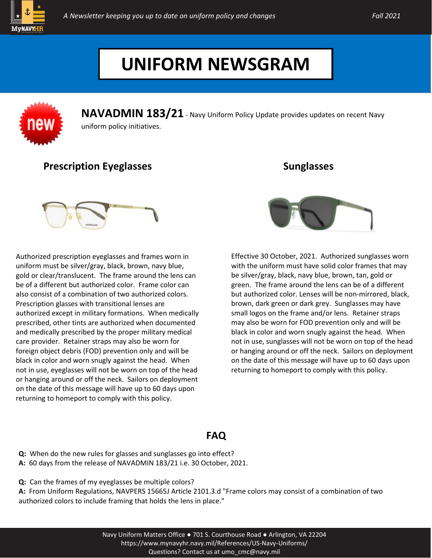



**NAVADMIN 183/21** - Navy Uniform Policy Update provides updates on recent Navy uniform policy initiatives.

#### **Prescription Eyeglasses**

Authorized prescription eyeglasses and frames worn in uniform must be silver/gray, black, brown, navy blue, gold or clear/translucent. The frame around the lens can be of a different but authorized color. Frame color can also consist of a combination of two authorized colors. Prescription glasses with transitional lenses are authorized except in military formations. When medically prescribed, other tints are authorized when documented and medically prescribed by the proper military medical care provider. Retainer straps may also be worn for foreign object debris (FOD) prevention only and will be black in color and worn snugly against the head. When not in use, eyeglasses will not be worn on top of the head or hanging around or off the neck. Sailors on deployment on the date of this message will have up to 60 days upon returning to homeport to comply with this policy.



**Sunglasses**

Effective 30 October, 2021. Authorized sunglasses worn with the uniform must have solid color frames that may be silver/gray, black, navy blue, brown, tan, gold or green. The frame around the lens can be of a different but authorized color. Lenses will be non-mirrored, black, brown, dark green or dark grey. Sunglasses may have small logos on the frame and/or lens. Retainer straps may also be worn for FOD prevention only and will be black in color and worn snugly against the head. When not in use, sunglasses will not be worn on top of the head or hanging around or off the neck. Sailors on deployment on the date of this message will have up to 60 days upon returning to homeport to comply with this policy.

#### **FAQ**

- **Q:** When do the new rules for glasses and sunglasses go into effect?
- **A:** 60 days from the release of NAVADMIN 183/21 i.e. 30 October, 2021.
- **Q:** Can the frames of my eyeglasses be multiple colors?

**A:** From Uniform Regulations, NAVPERS 15665J Article 2101.3.d "Frame colors may consist of a combination of two authorized colors to include framing that holds the lens in place."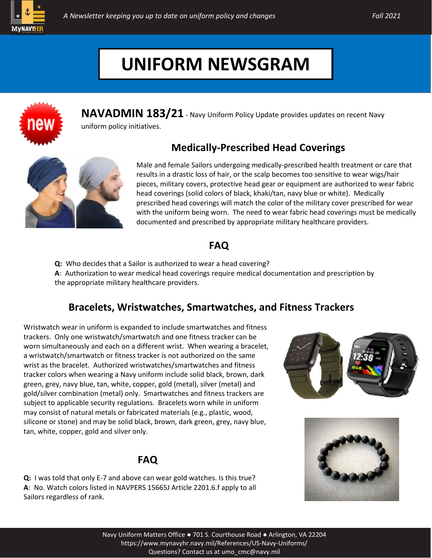



**NAVADMIN 183/21** - Navy Uniform Policy Update provides updates on recent Navy uniform policy initiatives.

### **Medically-Prescribed Head Coverings**



Male and female Sailors undergoing medically-prescribed health treatment or care that results in a drastic loss of hair, or the scalp becomes too sensitive to wear wigs/hair pieces, military covers, protective head gear or equipment are authorized to wear fabric head coverings (solid colors of black, khaki/tan, navy blue or white). Medically prescribed head coverings will match the color of the military cover prescribed for wear with the uniform being worn. The need to wear fabric head coverings must be medically documented and prescribed by appropriate military healthcare providers.

### **FAQ**

**Q:** Who decides that a Sailor is authorized to wear a head covering?

**A**: Authorization to wear medical head coverings require medical documentation and prescription by the appropriate military healthcare providers.

### **Bracelets, Wristwatches, Smartwatches, and Fitness Trackers**

Wristwatch wear in uniform is expanded to include smartwatches and fitness trackers. Only one wristwatch/smartwatch and one fitness tracker can be worn simultaneously and each on a different wrist. When wearing a bracelet, a wristwatch/smartwatch or fitness tracker is not authorized on the same wrist as the bracelet. Authorized wristwatches/smartwatches and fitness tracker colors when wearing a Navy uniform include solid black, brown, dark green, grey, navy blue, tan, white, copper, gold (metal), silver (metal) and gold/silver combination (metal) only. Smartwatches and fitness trackers are subject to applicable security regulations. Bracelets worn while in uniform may consist of natural metals or fabricated materials (e.g., plastic, wood, silicone or stone) and may be solid black, brown, dark green, grey, navy blue, tan, white, copper, gold and silver only.

#### **FAQ**

**Q:** I was told that only E-7 and above can wear gold watches. Is this true? **A**: No. Watch colors listed in NAVPERS 15665J Article 2201.6.f apply to all Sailors regardless of rank.



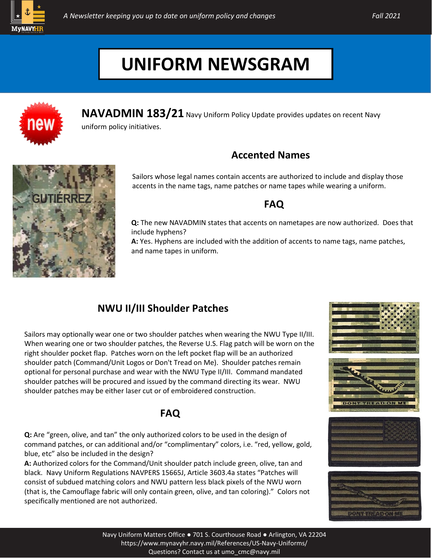



**NAVADMIN 183/21** Navy Uniform Policy Update provides updates on recent Navy uniform policy initiatives.

### **Accented Names**



Sailors whose legal names contain accents are authorized to include and display those accents in the name tags, name patches or name tapes while wearing a uniform.

#### **FAQ**

**Q:** The new NAVADMIN states that accents on nametapes are now authorized. Does that include hyphens?

**A:** Yes. Hyphens are included with the addition of accents to name tags, name patches, and name tapes in uniform.

### **NWU II/III Shoulder Patches**

Sailors may optionally wear one or two shoulder patches when wearing the NWU Type II/III. When wearing one or two shoulder patches, the Reverse U.S. Flag patch will be worn on the right shoulder pocket flap. Patches worn on the left pocket flap will be an authorized shoulder patch (Command/Unit Logos or Don't Tread on Me). Shoulder patches remain optional for personal purchase and wear with the NWU Type II/III. Command mandated shoulder patches will be procured and issued by the command directing its wear. NWU shoulder patches may be either laser cut or of embroidered construction.

### **FAQ**

**Q:** Are "green, olive, and tan" the only authorized colors to be used in the design of command patches, or can additional and/or "complimentary" colors, i.e. "red, yellow, gold, blue, etc" also be included in the design?

**A:** Authorized colors for the Command/Unit shoulder patch include green, olive, tan and black. Navy Uniform Regulations NAVPERS 15665J, Article 3603.4a states "Patches will consist of subdued matching colors and NWU pattern less black pixels of the NWU worn (that is, the Camouflage fabric will only contain green, olive, and tan coloring)." Colors not specifically mentioned are not authorized.









Navy Uniform Matters Office ● 701 S. Courthouse Road ● Arlington, VA 2220[4](https://www.mynavyhr.navy.mil/References/US-Navy-Uniforms/Questions?%20Contact%20us%20at%20umo_cmc@navy.mil) [https://www.mynavyhr.navy.mil/References/US](https://www.mynavyhr.navy.mil/References/US-Navy-Uniforms/Questions?%20Contact%20us%20at%20umo_cmc@navy.mil)-Navy-Uniforms/ [Questions? Contact us at](https://www.mynavyhr.navy.mil/References/US-Navy-Uniforms/Questions?%20Contact%20us%20at%20umo_cmc@navy.mil) umo\_cmc@navy.mil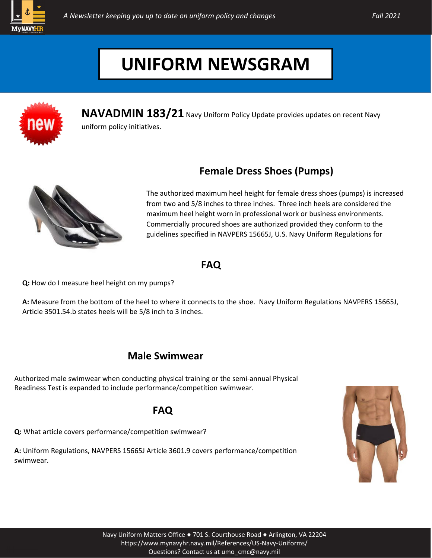



**NAVADMIN 183/21** Navy Uniform Policy Update provides updates on recent Navy uniform policy initiatives.

## **Female Dress Shoes (Pumps)**



The authorized maximum heel height for female dress shoes (pumps) is increased from two and 5/8 inches to three inches. Three inch heels are considered the maximum heel height worn in professional work or business environments. Commercially procured shoes are authorized provided they conform to the guidelines specified in NAVPERS 15665J, U.S. Navy Uniform Regulations for

#### **FAQ**

**Q:** How do I measure heel height on my pumps?

**A:** Measure from the bottom of the heel to where it connects to the shoe. Navy Uniform Regulations NAVPERS 15665J, Article 3501.54.b states heels will be 5/8 inch to 3 inches.

### **Male Swimwear**

Authorized male swimwear when conducting physical training or the semi-annual Physical Readiness Test is expanded to include performance/competition swimwear.

#### **FAQ**

**Q:** What article covers performance/competition swimwear?

**A:** Uniform Regulations, NAVPERS 15665J Article 3601.9 covers performance/competition swimwear.

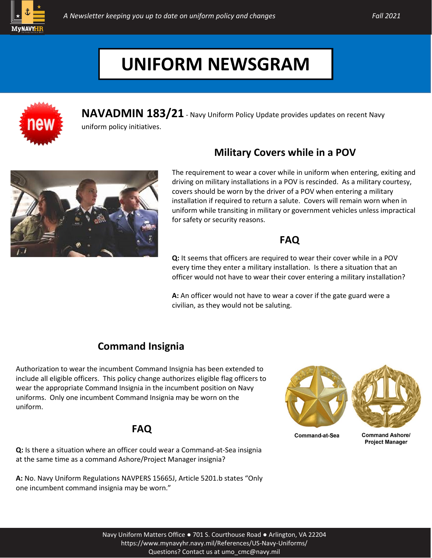



**NAVADMIN 183/21** - Navy Uniform Policy Update provides updates on recent Navy

uniform policy initiatives.

## **Military Covers while in a POV**



The requirement to wear a cover while in uniform when entering, exiting and driving on military installations in a POV is rescinded. As a military courtesy, covers should be worn by the driver of a POV when entering a military installation if required to return a salute. Covers will remain worn when in uniform while transiting in military or government vehicles unless impractical for safety or security reasons.

### **FAQ**

**Q:** It seems that officers are required to wear their cover while in a POV every time they enter a military installation. Is there a situation that an officer would not have to wear their cover entering a military installation?

**A:** An officer would not have to wear a cover if the gate guard were a civilian, as they would not be saluting.

## **Command Insignia**

Authorization to wear the incumbent Command Insignia has been extended to include all eligible officers. This policy change authorizes eligible flag officers to wear the appropriate Command Insignia in the incumbent position on Navy uniforms. Only one incumbent Command Insignia may be worn on the uniform.

### **FAQ**

**Q:** Is there a situation where an officer could wear a Command-at-Sea insignia at the same time as a command Ashore/Project Manager insignia?

**A:** No. Navy Uniform Regulations NAVPERS 15665J, Article 5201.b states "Only one incumbent command insignia may be worn."



**Command-at-Sea** 

**Command Ashore/ Project Manager**